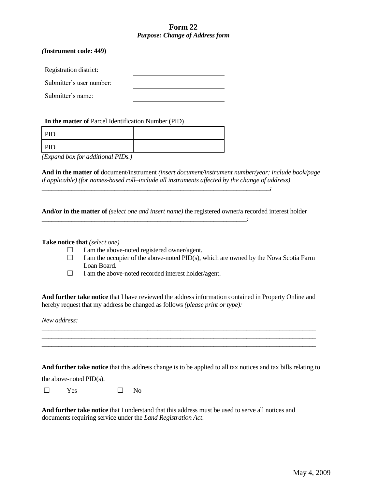## **Form 22** *Purpose: Change of Address form*

## *(***Instrument code: 449)**

Registration district:

Submitter's user number:

Submitter's name:

**In the matter of** Parcel Identification Number (PID)

| PID                                                                                                                    |  |
|------------------------------------------------------------------------------------------------------------------------|--|
| PID                                                                                                                    |  |
| the contract of the contract of the<br>the contract of the contract of the contract of the contract of the contract of |  |

*(Expand box for additional PIDs.)*

**And in the matter of** document/instrument *(insert document/instrument number/year; include book/page if applicable) (for names-based roll–include all instruments affected by the change of address) \_\_\_\_\_\_\_\_\_\_\_\_\_\_\_\_\_\_\_\_\_\_\_\_\_\_\_\_\_\_\_\_\_\_\_\_\_\_\_\_\_\_\_\_\_\_\_\_\_\_\_\_\_\_\_\_\_\_\_\_\_\_\_\_\_\_\_\_\_;*

*\_\_\_\_\_\_\_\_\_\_\_\_\_\_\_\_\_\_\_\_\_\_\_\_\_\_\_\_\_\_\_\_\_\_\_\_\_\_\_\_\_\_\_\_\_\_\_\_\_\_\_\_\_\_\_\_\_\_\_\_\_\_:*

**And/or in the matter of** *(select one and insert name)* the registered owner/a recorded interest holder

## **Take notice that** *(select one)*

- $\Box$  I am the above-noted registered owner/agent.
- $\Box$  I am the occupier of the above-noted PID(s), which are owned by the Nova Scotia Farm Loan Board.
- ☐ I am the above-noted recorded interest holder/agent.

**And further take notice** that I have reviewed the address information contained in Property Online and hereby request that my address be changed as follows *(please print or type):*

*\_\_\_\_\_\_\_\_\_\_\_\_\_\_\_\_\_\_\_\_\_\_\_\_\_\_\_\_\_\_\_\_\_\_\_\_\_\_\_\_\_\_\_\_\_\_\_\_\_\_\_\_\_\_\_\_\_\_\_\_\_\_\_\_\_\_\_\_\_\_\_\_\_\_\_\_\_\_\_\_\_\_\_ \_\_\_\_\_\_\_\_\_\_\_\_\_\_\_\_\_\_\_\_\_\_\_\_\_\_\_\_\_\_\_\_\_\_\_\_\_\_\_\_\_\_\_\_\_\_\_\_\_\_\_\_\_\_\_\_\_\_\_\_\_\_\_\_\_\_\_\_\_\_\_\_\_\_\_\_\_\_\_\_\_\_\_ \_\_\_\_\_\_\_\_\_\_\_\_\_\_\_\_\_\_\_\_\_\_\_\_\_\_\_\_\_\_\_\_\_\_\_\_\_\_\_\_\_\_\_\_\_\_\_\_\_\_\_\_\_\_\_\_\_\_\_\_\_\_\_\_\_\_\_\_\_\_\_\_\_\_\_\_\_\_\_\_\_\_\_*

*New address:* 

**And further take notice** that this address change is to be applied to all tax notices and tax bills relating to

the above-noted PID(s).

 $\square$  Yes  $\square$  No

**And further take notice** that I understand that this address must be used to serve all notices and documents requiring service under the *Land Registration Act*.